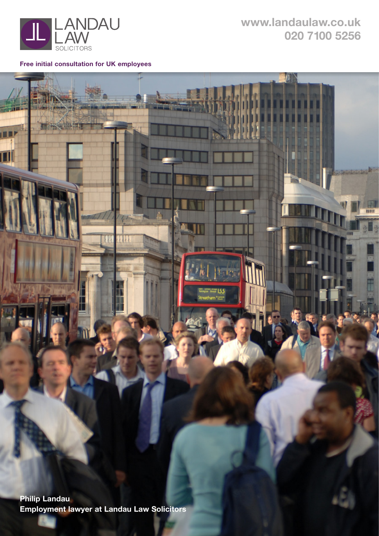

т

**[www.](http://www.settlementagreements.com)landaulaw.co.uk 020 7100 5256**

**Free initial consultation for UK employees**

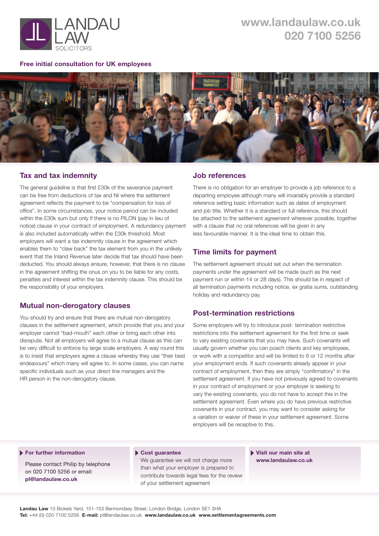

#### **Free initial consultation for UK employees**



# **Tax and tax indemnity**

The general guideline is that first £30k of the severance payment can be free from deductions of tax and NI where the settlement agreement reflects the payment to be "compensation for loss of office". In some circumstances, your notice period can be included within the £30k sum but only if there is no PILON (pay in lieu of notice) clause in your contract of employment. A redundancy payment is also included automatically within the £30k threshold. Most employers will want a tax indemnity clause in the agreement which enables them to "claw back" the tax element from you in the unlikely event that the Inland Revenue later decide that tax should have been deducted. You should always ensure, however, that there is no clause in the agreement shifting the onus on you to be liable for any costs, penalties and interest within the tax indemnity clause. This should be the responsibility of your employers.

# **Mutual non-derogatory clauses**

You should try and ensure that there are mutual non-derogatory clauses in the settlement agreement, which provide that you and your employer cannot "bad-mouth" each other or bring each other into disrepute. Not all employers will agree to a mutual clause as this can be very difficult to enforce by large scale employers. A way round this is to insist that employers agree a clause whereby they use "their best endeavours" which many will agree to. In some cases, you can name specific individuals such as your direct line managers and the HR person in the non-derogatory clause.

# **Job references**

There is no obligation for an employer to provide a job reference to a departing employee although many will invariably provide a standard reference setting basic information such as dates of employment and job title. Whether it is a standard or full reference, this should be attached to the settlement agreement wherever possible, together with a clause that no oral references will be given in any less favourable manner. It is the ideal time to obtain this.

# **Time limits for payment**

The settlement agreement should set out when the termination payments under the agreement will be made (such as the next payment run or within 14 or 28 days). This should be in respect of all termination payments including notice, ex gratia sums, outstanding holiday and redundancy pay.

# **Post-termination restrictions**

Some employers will try to introduce post- termination restrictive restrictions into the settlement agreement for the first time or seek to vary existing covenants that you may have. Such covenants will usually govern whether you can poach clients and key employees, or work with a competitor and will be limited to 6 or 12 months after your employment ends. If such covenants already appear in your contract of employment, then they are simply "confirmatory" in the settlement agreement. If you have not previously agreed to covenants in your contract of employment or your employer is seeking to vary the existing covenants, you do not have to accept this in the settlement agreement. Even where you do have previous restrictive covenants in your contract, you may want to consider asking for a variation or waiver of these in your settlement agreement. Some employers will be receptive to this.

#### **For further information**

Please contact Philip by telephone on 020 7100 5256 or email: **[pl@landaulaw.co.uk](mailto:pl@landaulaw.co.uk)**

#### **Cost guarantee**

We guarantee we will not charge more than what your employer is prepared to contribute towards legal fees for the review of your settlement agreement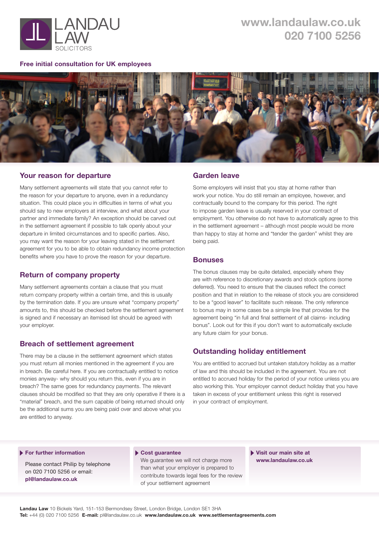

#### **Free initial consultation for UK employees**



# **Your reason for departure**

Many settlement agreements will state that you cannot refer to the reason for your departure to anyone, even in a redundancy situation. This could place you in difficulties in terms of what you should say to new employers at interview, and what about your partner and immediate family? An exception should be carved out in the settlement agreement if possible to talk openly about your departure in limited circumstances and to specific parties. Also, you may want the reason for your leaving stated in the settlement agreement for you to be able to obtain redundancy income protection benefits where you have to prove the reason for your departure.

# **Return of company property**

Many settlement agreements contain a clause that you must return company property within a certain time, and this is usually by the termination date. If you are unsure what "company property" amounts to, this should be checked before the settlement agreement is signed and if necessary an itemised list should be agreed with your employer.

# **Breach of settlement agreement**

There may be a clause in the settlement agreement which states you must return all monies mentioned in the agreement if you are in breach. Be careful here. If you are contractually entitled to notice monies anyway- why should you return this, even if you are in breach? The same goes for redundancy payments. The relevant clauses should be modified so that they are only operative if there is a "material" breach, and the sum capable of being returned should only be the additional sums you are being paid over and above what you are entitled to anyway.

# **Garden leave**

Some employers will insist that you stay at home rather than work your notice. You do still remain an employee, however, and contractually bound to the company for this period. The right to impose garden leave is usually reserved in your contract of employment. You otherwise do not have to automatically agree to this in the settlement agreement – although most people would be more than happy to stay at home and "tender the garden" whilst they are being paid.

#### **Bonuses**

The bonus clauses may be quite detailed, especially where they are with reference to discretionary awards and stock options (some deferred). You need to ensure that the clauses reflect the correct position and that in relation to the release of stock you are considered to be a "good leaver" to facilitate such release. The only reference to bonus may in some cases be a simple line that provides for the agreement being "in full and final settlement of all claims- including bonus". Look out for this if you don't want to automatically exclude any future claim for your bonus.

# **Outstanding holiday entitlement**

You are entitled to accrued but untaken statutory holiday as a matter of law and this should be included in the agreement. You are not entitled to accrued holiday for the period of your notice unless you are also working this. Your employer cannot deduct holiday that you have taken in excess of your entitlement unless this right is reserved in your contract of employment.

#### **For further information**

Please contact Philip by telephone on 020 7100 5256 or email: **[pl@landaulaw.co.uk](mailto:pl@landaulaw.co.uk)**

#### **Cost guarantee**

We guarantee we will not charge more than what your employer is prepared to contribute towards legal fees for the review of your settlement agreement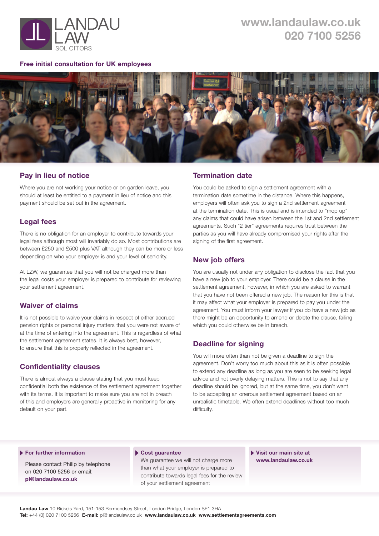

#### **Free initial consultation for UK employees**



# **Pay in lieu of notice**

Where you are not working your notice or on garden leave, you should at least be entitled to a payment in lieu of notice and this payment should be set out in the agreement.

# **Legal fees**

There is no obligation for an employer to contribute towards your legal fees although most will invariably do so. Most contributions are between £250 and £500 plus VAT although they can be more or less depending on who your employer is and your level of seniority.

At LZW, we guarantee that you will not be charged more than the legal costs your employer is prepared to contribute for reviewing your settlement agreement.

# **Waiver of claims**

It is not possible to waive your claims in respect of either accrued pension rights or personal injury matters that you were not aware of at the time of entering into the agreement. This is regardless of what the settlement agreement states. It is always best, however, to ensure that this is properly reflected in the agreement.

# **Confidentiality clauses**

There is almost always a clause stating that you must keep confidential both the existence of the settlement agreement together with its terms. It is important to make sure you are not in breach of this and employers are generally proactive in monitoring for any default on your part.

# **Termination date**

You could be asked to sign a settlement agreement with a termination date sometime in the distance. Where this happens, employers will often ask you to sign a 2nd settlement agreement at the termination date. This is usual and is intended to "mop up" any claims that could have arisen between the 1st and 2nd settlement agreements. Such "2 tier" agreements requires trust between the parties as you will have already compromised your rights after the signing of the first agreement.

# **New job offers**

You are usually not under any obligation to disclose the fact that you have a new job to your employer. There could be a clause in the settlement agreement, however, in which you are asked to warrant that you have not been offered a new job. The reason for this is that it may affect what your employer is prepared to pay you under the agreement. You must inform your lawyer if you do have a new job as there might be an opportunity to amend or delete the clause, failing which you could otherwise be in breach.

# **Deadline for signing**

You will more often than not be given a deadline to sign the agreement. Don't worry too much about this as it is often possible to extend any deadline as long as you are seen to be seeking legal advice and not overly delaying matters. This is not to say that any deadline should be ignored, but at the same time, you don't want to be accepting an onerous settlement agreement based on an unrealistic timetable. We often extend deadlines without too much difficulty.

#### **For further information**

Please contact Philip by telephone on 020 7100 5256 or email: **[pl@landaulaw.co.uk](mailto:pl@landaulaw.co.uk)**

#### **Cost guarantee**

We guarantee we will not charge more than what your employer is prepared to contribute towards legal fees for the review of your settlement agreement